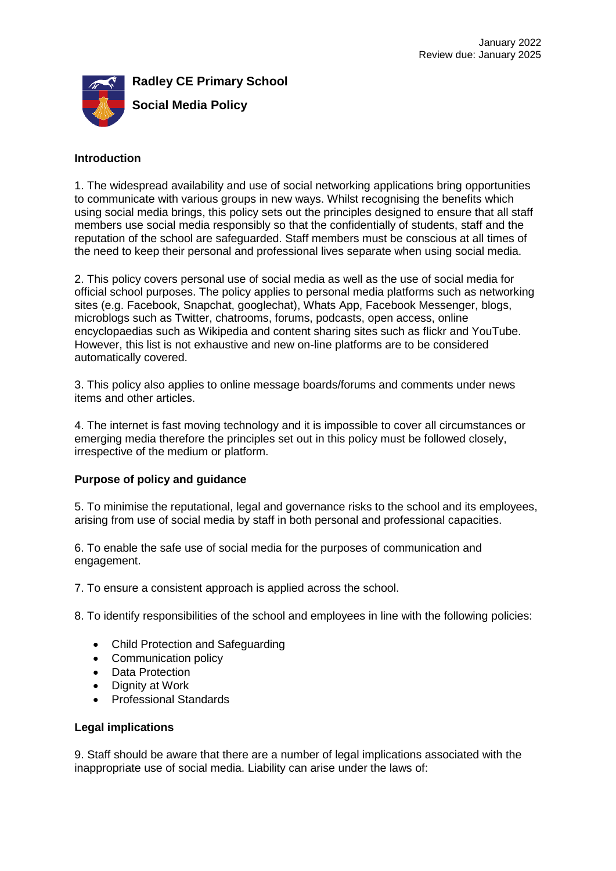

## **Introduction**

1. The widespread availability and use of social networking applications bring opportunities to communicate with various groups in new ways. Whilst recognising the benefits which using social media brings, this policy sets out the principles designed to ensure that all staff members use social media responsibly so that the confidentially of students, staff and the reputation of the school are safeguarded. Staff members must be conscious at all times of the need to keep their personal and professional lives separate when using social media.

2. This policy covers personal use of social media as well as the use of social media for official school purposes. The policy applies to personal media platforms such as networking sites (e.g. Facebook, Snapchat, googlechat), Whats App, Facebook Messenger, blogs, microblogs such as Twitter, chatrooms, forums, podcasts, open access, online encyclopaedias such as Wikipedia and content sharing sites such as flickr and YouTube. However, this list is not exhaustive and new on-line platforms are to be considered automatically covered.

3. This policy also applies to online message boards/forums and comments under news items and other articles.

4. The internet is fast moving technology and it is impossible to cover all circumstances or emerging media therefore the principles set out in this policy must be followed closely, irrespective of the medium or platform.

## **Purpose of policy and guidance**

5. To minimise the reputational, legal and governance risks to the school and its employees, arising from use of social media by staff in both personal and professional capacities.

6. To enable the safe use of social media for the purposes of communication and engagement.

7. To ensure a consistent approach is applied across the school.

8. To identify responsibilities of the school and employees in line with the following policies:

- Child Protection and Safeguarding
- Communication policy
- Data Protection
- Dignity at Work
- Professional Standards

### **Legal implications**

9. Staff should be aware that there are a number of legal implications associated with the inappropriate use of social media. Liability can arise under the laws of: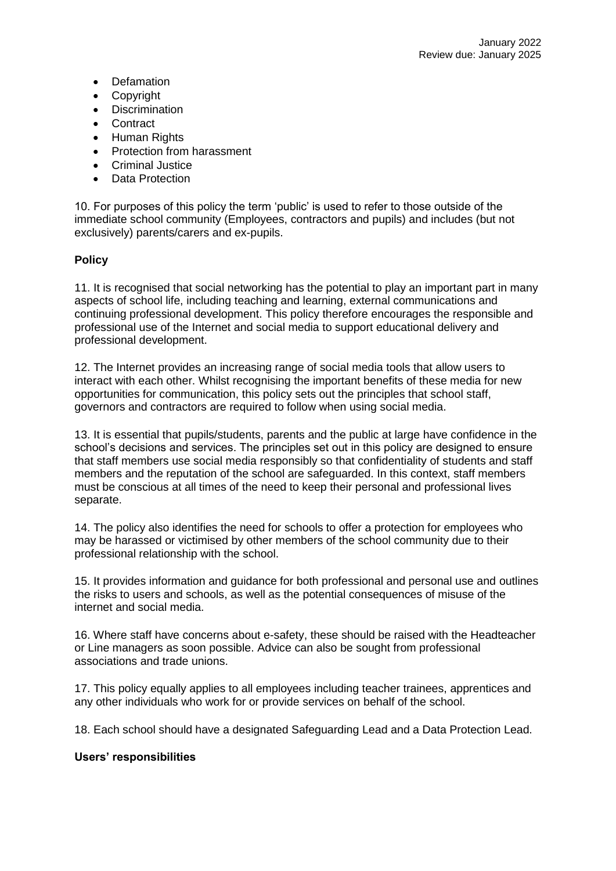- Defamation
- Copyright
- Discrimination
- **Contract**
- Human Rights
- Protection from harassment
- Criminal Justice
- Data Protection

10. For purposes of this policy the term 'public' is used to refer to those outside of the immediate school community (Employees, contractors and pupils) and includes (but not exclusively) parents/carers and ex-pupils.

# **Policy**

11. It is recognised that social networking has the potential to play an important part in many aspects of school life, including teaching and learning, external communications and continuing professional development. This policy therefore encourages the responsible and professional use of the Internet and social media to support educational delivery and professional development.

12. The Internet provides an increasing range of social media tools that allow users to interact with each other. Whilst recognising the important benefits of these media for new opportunities for communication, this policy sets out the principles that school staff, governors and contractors are required to follow when using social media.

13. It is essential that pupils/students, parents and the public at large have confidence in the school's decisions and services. The principles set out in this policy are designed to ensure that staff members use social media responsibly so that confidentiality of students and staff members and the reputation of the school are safeguarded. In this context, staff members must be conscious at all times of the need to keep their personal and professional lives separate.

14. The policy also identifies the need for schools to offer a protection for employees who may be harassed or victimised by other members of the school community due to their professional relationship with the school.

15. It provides information and guidance for both professional and personal use and outlines the risks to users and schools, as well as the potential consequences of misuse of the internet and social media.

16. Where staff have concerns about e-safety, these should be raised with the Headteacher or Line managers as soon possible. Advice can also be sought from professional associations and trade unions.

17. This policy equally applies to all employees including teacher trainees, apprentices and any other individuals who work for or provide services on behalf of the school.

18. Each school should have a designated Safeguarding Lead and a Data Protection Lead.

## **Users' responsibilities**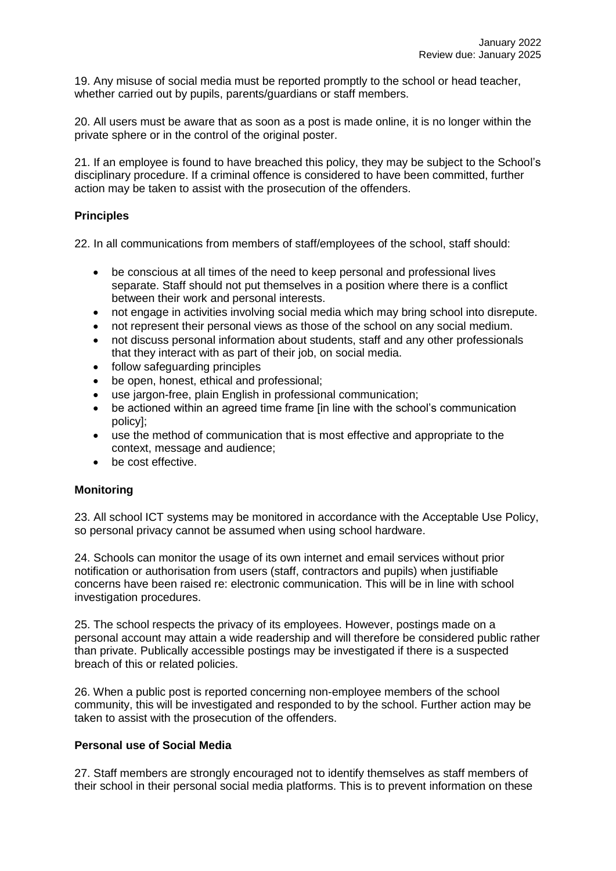19. Any misuse of social media must be reported promptly to the school or head teacher, whether carried out by pupils, parents/guardians or staff members.

20. All users must be aware that as soon as a post is made online, it is no longer within the private sphere or in the control of the original poster.

21. If an employee is found to have breached this policy, they may be subject to the School's disciplinary procedure. If a criminal offence is considered to have been committed, further action may be taken to assist with the prosecution of the offenders.

## **Principles**

22. In all communications from members of staff/employees of the school, staff should:

- be conscious at all times of the need to keep personal and professional lives separate. Staff should not put themselves in a position where there is a conflict between their work and personal interests.
- not engage in activities involving social media which may bring school into disrepute.
- not represent their personal views as those of the school on any social medium.
- not discuss personal information about students, staff and any other professionals that they interact with as part of their job, on social media.
- follow safeguarding principles
- be open, honest, ethical and professional;
- use jargon-free, plain English in professional communication;
- be actioned within an agreed time frame [in line with the school's communication policy];
- use the method of communication that is most effective and appropriate to the context, message and audience;
- be cost effective.

### **Monitoring**

23. All school ICT systems may be monitored in accordance with the Acceptable Use Policy, so personal privacy cannot be assumed when using school hardware.

24. Schools can monitor the usage of its own internet and email services without prior notification or authorisation from users (staff, contractors and pupils) when justifiable concerns have been raised re: electronic communication. This will be in line with school investigation procedures.

25. The school respects the privacy of its employees. However, postings made on a personal account may attain a wide readership and will therefore be considered public rather than private. Publically accessible postings may be investigated if there is a suspected breach of this or related policies.

26. When a public post is reported concerning non-employee members of the school community, this will be investigated and responded to by the school. Further action may be taken to assist with the prosecution of the offenders.

## **Personal use of Social Media**

27. Staff members are strongly encouraged not to identify themselves as staff members of their school in their personal social media platforms. This is to prevent information on these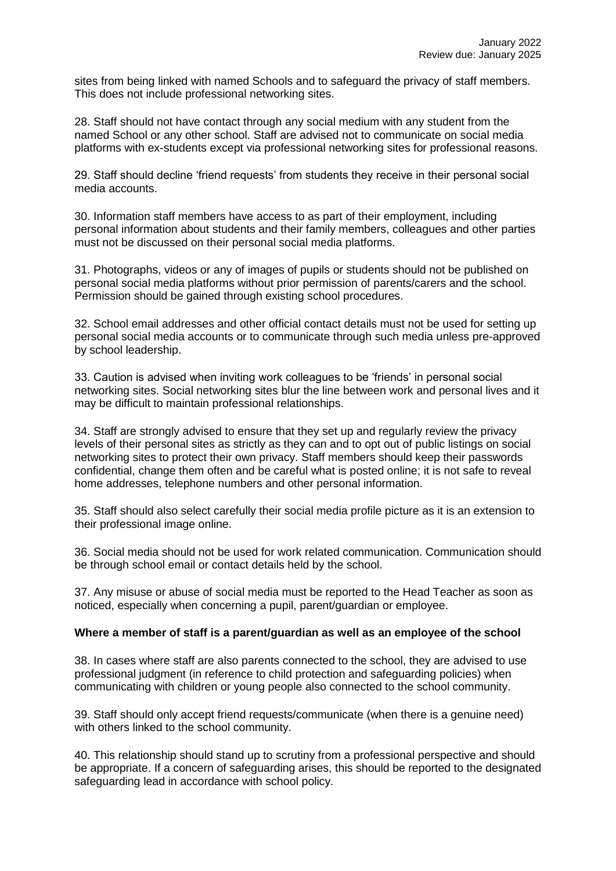sites from being linked with named Schools and to safeguard the privacy of staff members. This does not include professional networking sites.

28. Staff should not have contact through any social medium with any student from the named School or any other school. Staff are advised not to communicate on social media platforms with ex-students except via professional networking sites for professional reasons.

29. Staff should decline 'friend requests' from students they receive in their personal social media accounts.

30. Information staff members have access to as part of their employment, including personal information about students and their family members, colleagues and other parties must not be discussed on their personal social media platforms.

31. Photographs, videos or any of images of pupils or students should not be published on personal social media platforms without prior permission of parents/carers and the school. Permission should be gained through existing school procedures.

32. School email addresses and other official contact details must not be used for setting up personal social media accounts or to communicate through such media unless pre-approved by school leadership.

33. Caution is advised when inviting work colleagues to be 'friends' in personal social networking sites. Social networking sites blur the line between work and personal lives and it may be difficult to maintain professional relationships.

34. Staff are strongly advised to ensure that they set up and regularly review the privacy levels of their personal sites as strictly as they can and to opt out of public listings on social networking sites to protect their own privacy. Staff members should keep their passwords confidential, change them often and be careful what is posted online; it is not safe to reveal home addresses, telephone numbers and other personal information.

35. Staff should also select carefully their social media profile picture as it is an extension to their professional image online.

36. Social media should not be used for work related communication. Communication should be through school email or contact details held by the school.

37. Any misuse or abuse of social media must be reported to the Head Teacher as soon as noticed, especially when concerning a pupil, parent/guardian or employee.

### **Where a member of staff is a parent/guardian as well as an employee of the school**

38. In cases where staff are also parents connected to the school, they are advised to use professional judgment (in reference to child protection and safeguarding policies) when communicating with children or young people also connected to the school community.

39. Staff should only accept friend requests/communicate (when there is a genuine need) with others linked to the school community.

40. This relationship should stand up to scrutiny from a professional perspective and should be appropriate. If a concern of safeguarding arises, this should be reported to the designated safeguarding lead in accordance with school policy.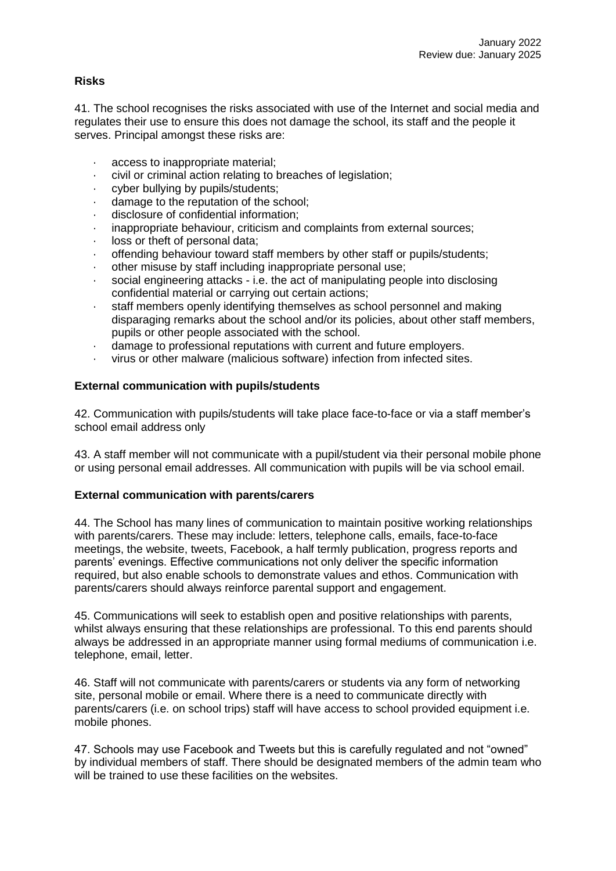# **Risks**

41. The school recognises the risks associated with use of the Internet and social media and regulates their use to ensure this does not damage the school, its staff and the people it serves. Principal amongst these risks are:

- access to inappropriate material:
- civil or criminal action relating to breaches of legislation;
- · cyber bullying by pupils/students;
- damage to the reputation of the school;
- · disclosure of confidential information;
- inappropriate behaviour, criticism and complaints from external sources;
- loss or theft of personal data;
- offending behaviour toward staff members by other staff or pupils/students;
- · other misuse by staff including inappropriate personal use;
- · social engineering attacks i.e. the act of manipulating people into disclosing confidential material or carrying out certain actions;
- · staff members openly identifying themselves as school personnel and making disparaging remarks about the school and/or its policies, about other staff members, pupils or other people associated with the school.
- · damage to professional reputations with current and future employers.
- · virus or other malware (malicious software) infection from infected sites.

## **External communication with pupils/students**

42. Communication with pupils/students will take place face-to-face or via a staff member's school email address only

43. A staff member will not communicate with a pupil/student via their personal mobile phone or using personal email addresses. All communication with pupils will be via school email.

### **External communication with parents/carers**

44. The School has many lines of communication to maintain positive working relationships with parents/carers. These may include: letters, telephone calls, emails, face-to-face meetings, the website, tweets, Facebook, a half termly publication, progress reports and parents' evenings. Effective communications not only deliver the specific information required, but also enable schools to demonstrate values and ethos. Communication with parents/carers should always reinforce parental support and engagement.

45. Communications will seek to establish open and positive relationships with parents, whilst always ensuring that these relationships are professional. To this end parents should always be addressed in an appropriate manner using formal mediums of communication i.e. telephone, email, letter.

46. Staff will not communicate with parents/carers or students via any form of networking site, personal mobile or email. Where there is a need to communicate directly with parents/carers (i.e. on school trips) staff will have access to school provided equipment i.e. mobile phones.

47. Schools may use Facebook and Tweets but this is carefully regulated and not "owned" by individual members of staff. There should be designated members of the admin team who will be trained to use these facilities on the websites.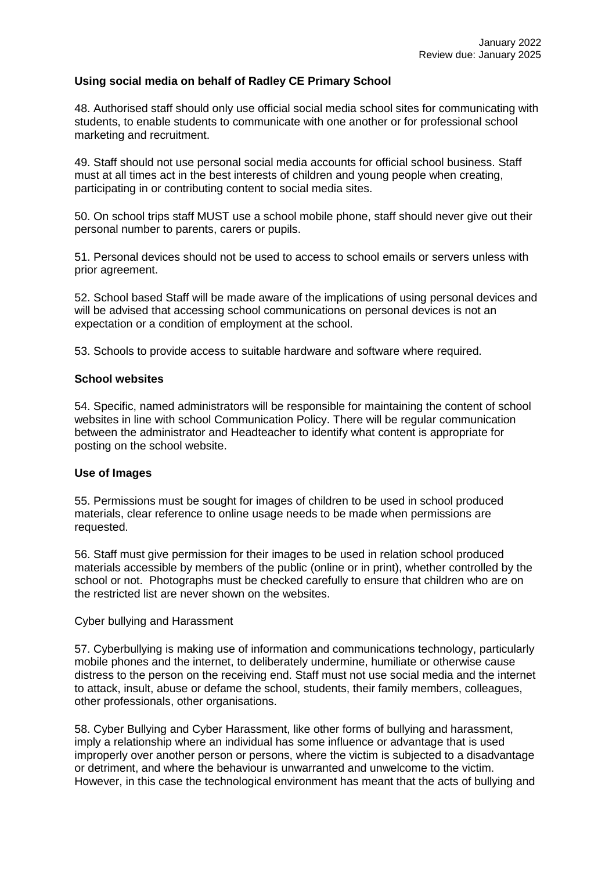## **Using social media on behalf of Radley CE Primary School**

48. Authorised staff should only use official social media school sites for communicating with students, to enable students to communicate with one another or for professional school marketing and recruitment.

49. Staff should not use personal social media accounts for official school business. Staff must at all times act in the best interests of children and young people when creating, participating in or contributing content to social media sites.

50. On school trips staff MUST use a school mobile phone, staff should never give out their personal number to parents, carers or pupils.

51. Personal devices should not be used to access to school emails or servers unless with prior agreement.

52. School based Staff will be made aware of the implications of using personal devices and will be advised that accessing school communications on personal devices is not an expectation or a condition of employment at the school.

53. Schools to provide access to suitable hardware and software where required.

#### **School websites**

54. Specific, named administrators will be responsible for maintaining the content of school websites in line with school Communication Policy. There will be regular communication between the administrator and Headteacher to identify what content is appropriate for posting on the school website.

### **Use of Images**

55. Permissions must be sought for images of children to be used in school produced materials, clear reference to online usage needs to be made when permissions are requested.

56. Staff must give permission for their images to be used in relation school produced materials accessible by members of the public (online or in print), whether controlled by the school or not. Photographs must be checked carefully to ensure that children who are on the restricted list are never shown on the websites.

#### Cyber bullying and Harassment

57. Cyberbullying is making use of information and communications technology, particularly mobile phones and the internet, to deliberately undermine, humiliate or otherwise cause distress to the person on the receiving end. Staff must not use social media and the internet to attack, insult, abuse or defame the school, students, their family members, colleagues, other professionals, other organisations.

58. Cyber Bullying and Cyber Harassment, like other forms of bullying and harassment, imply a relationship where an individual has some influence or advantage that is used improperly over another person or persons, where the victim is subjected to a disadvantage or detriment, and where the behaviour is unwarranted and unwelcome to the victim. However, in this case the technological environment has meant that the acts of bullying and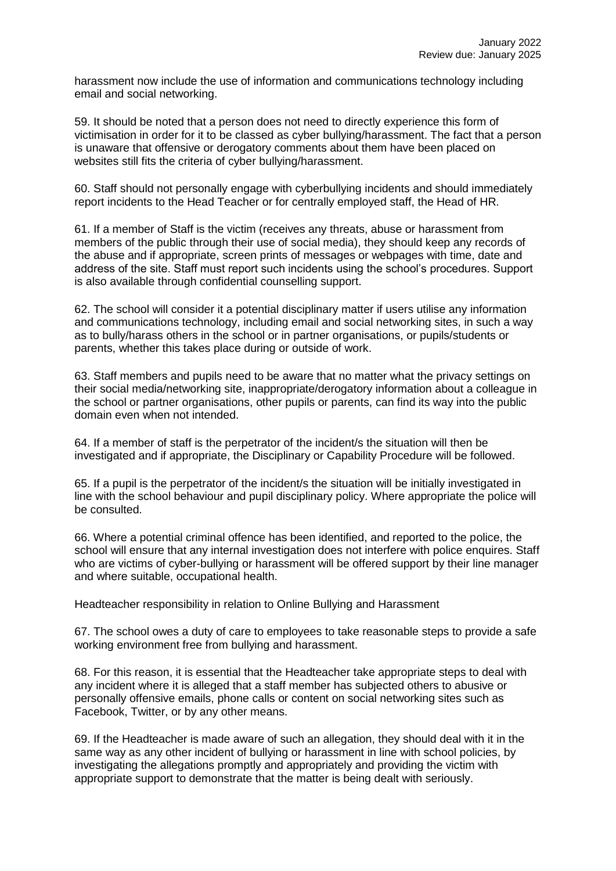harassment now include the use of information and communications technology including email and social networking.

59. It should be noted that a person does not need to directly experience this form of victimisation in order for it to be classed as cyber bullying/harassment. The fact that a person is unaware that offensive or derogatory comments about them have been placed on websites still fits the criteria of cyber bullying/harassment.

60. Staff should not personally engage with cyberbullying incidents and should immediately report incidents to the Head Teacher or for centrally employed staff, the Head of HR.

61. If a member of Staff is the victim (receives any threats, abuse or harassment from members of the public through their use of social media), they should keep any records of the abuse and if appropriate, screen prints of messages or webpages with time, date and address of the site. Staff must report such incidents using the school's procedures. Support is also available through confidential counselling support.

62. The school will consider it a potential disciplinary matter if users utilise any information and communications technology, including email and social networking sites, in such a way as to bully/harass others in the school or in partner organisations, or pupils/students or parents, whether this takes place during or outside of work.

63. Staff members and pupils need to be aware that no matter what the privacy settings on their social media/networking site, inappropriate/derogatory information about a colleague in the school or partner organisations, other pupils or parents, can find its way into the public domain even when not intended.

64. If a member of staff is the perpetrator of the incident/s the situation will then be investigated and if appropriate, the Disciplinary or Capability Procedure will be followed.

65. If a pupil is the perpetrator of the incident/s the situation will be initially investigated in line with the school behaviour and pupil disciplinary policy. Where appropriate the police will be consulted.

66. Where a potential criminal offence has been identified, and reported to the police, the school will ensure that any internal investigation does not interfere with police enquires. Staff who are victims of cyber-bullying or harassment will be offered support by their line manager and where suitable, occupational health.

Headteacher responsibility in relation to Online Bullying and Harassment

67. The school owes a duty of care to employees to take reasonable steps to provide a safe working environment free from bullying and harassment.

68. For this reason, it is essential that the Headteacher take appropriate steps to deal with any incident where it is alleged that a staff member has subjected others to abusive or personally offensive emails, phone calls or content on social networking sites such as Facebook, Twitter, or by any other means.

69. If the Headteacher is made aware of such an allegation, they should deal with it in the same way as any other incident of bullying or harassment in line with school policies, by investigating the allegations promptly and appropriately and providing the victim with appropriate support to demonstrate that the matter is being dealt with seriously.